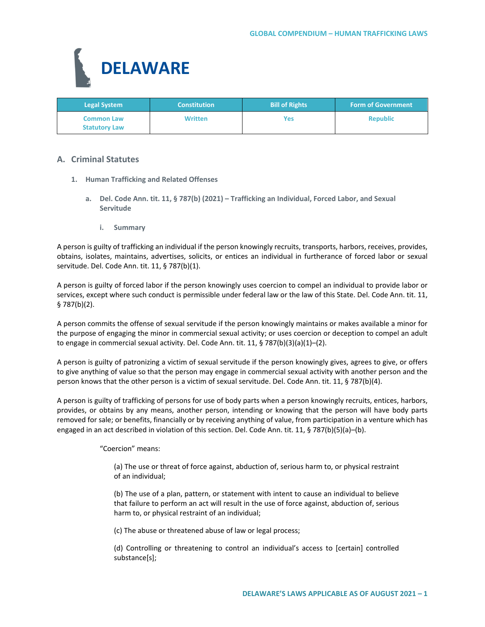

| <b>Legal System</b>                       | <b>Constitution</b> | <b>Bill of Rights</b> | <b>Form of Government</b> |
|-------------------------------------------|---------------------|-----------------------|---------------------------|
| <b>Common Law</b><br><b>Statutory Law</b> | <b>Written</b>      | Yes                   | <b>Republic</b>           |

# **A. Criminal Statutes**

- **1. Human Trafficking and Related Offenses**
	- **a. Del. Code Ann. tit. 11, § 787(b) (2021) – Trafficking an Individual, Forced Labor, and Sexual Servitude**
		- **i. Summary**

A person is guilty of trafficking an individual if the person knowingly recruits, transports, harbors, receives, provides, obtains, isolates, maintains, advertises, solicits, or entices an individual in furtherance of forced labor or sexual servitude. Del. Code Ann. tit. 11, § 787(b)(1).

A person is guilty of forced labor if the person knowingly uses coercion to compel an individual to provide labor or services, except where such conduct is permissible under federal law or the law of this State. Del. Code Ann. tit. 11, § 787(b)(2).

A person commits the offense of sexual servitude if the person knowingly maintains or makes available a minor for the purpose of engaging the minor in commercial sexual activity; or uses coercion or deception to compel an adult to engage in commercial sexual activity. Del. Code Ann. tit. 11, § 787(b)(3)(a)(1)–(2).

A person is guilty of patronizing a victim of sexual servitude if the person knowingly gives, agrees to give, or offers to give anything of value so that the person may engage in commercial sexual activity with another person and the person knows that the other person is a victim of sexual servitude. Del. Code Ann. tit. 11, § 787(b)(4).

A person is guilty of trafficking of persons for use of body parts when a person knowingly recruits, entices, harbors, provides, or obtains by any means, another person, intending or knowing that the person will have body parts removed for sale; or benefits, financially or by receiving anything of value, from participation in a venture which has engaged in an act described in violation of this section. Del. Code Ann. tit. 11, § 787(b)(5)(a)-(b).

"Coercion" means:

(a) The use or threat of force against, abduction of, serious harm to, or physical restraint of an individual;

(b) The use of a plan, pattern, or statement with intent to cause an individual to believe that failure to perform an act will result in the use of force against, abduction of, serious harm to, or physical restraint of an individual;

(c) The abuse or threatened abuse of law or legal process;

(d) Controlling or threatening to control an individual's access to [certain] controlled substance[s];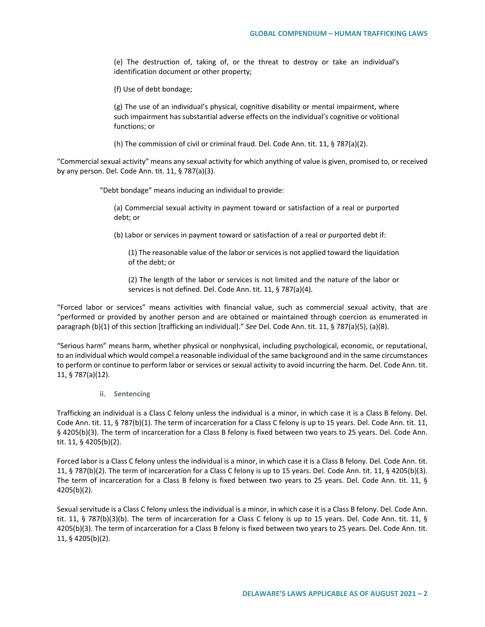(e) The destruction of, taking of, or the threat to destroy or take an individual's identification document or other property;

(f) Use of debt bondage;

(g) The use of an individual's physical, cognitive disability or mental impairment, where such impairment has substantial adverse effects on the individual's cognitive or volitional functions; or

(h) The commission of civil or criminal fraud. Del. Code Ann. tit. 11, § 787(a)(2).

"Commercial sexual activity" means any sexual activity for which anything of value is given, promised to, or received by any person. Del. Code Ann. tit. 11, § 787(a)(3).

"Debt bondage" means inducing an individual to provide:

(a) Commercial sexual activity in payment toward or satisfaction of a real or purported debt; or

(b) Labor or services in payment toward or satisfaction of a real or purported debt if:

(1) The reasonable value of the labor or services is not applied toward the liquidation of the debt; or

(2) The length of the labor or services is not limited and the nature of the labor or services is not defined. Del. Code Ann. tit. 11, § 787(a)(4).

"Forced labor or services" means activities with financial value, such as commercial sexual activity, that are "performed or provided by another person and are obtained or maintained through coercion as enumerated in paragraph (b)(1) of this section [trafficking an individual]." *See* Del. Code Ann. tit. 11, § 787(a)(5), (a)(8).

"Serious harm" means harm, whether physical or nonphysical, including psychological, economic, or reputational, to an individual which would compel a reasonable individual of the same background and in the same circumstances to perform or continue to perform labor or services or sexual activity to avoid incurring the harm. Del. Code Ann. tit. 11, § 787(a)(12).

**ii. Sentencing**

Trafficking an individual is a Class C felony unless the individual is a minor, in which case it is a Class B felony. Del. Code Ann. tit. 11, § 787(b)(1). The term of incarceration for a Class C felony is up to 15 years. Del. Code Ann. tit. 11, § 4205(b)(3). The term of incarceration for a Class B felony is fixed between two years to 25 years. Del. Code Ann. tit. 11, § 4205(b)(2).

Forced labor is a Class C felony unless the individual is a minor, in which case it is a Class B felony. Del. Code Ann. tit. 11, § 787(b)(2). The term of incarceration for a Class C felony is up to 15 years. Del. Code Ann. tit. 11, § 4205(b)(3). The term of incarceration for a Class B felony is fixed between two years to 25 years. Del. Code Ann. tit. 11, § 4205(b)(2).

Sexual servitude is a Class C felony unless the individual is a minor, in which case it is a Class B felony. Del. Code Ann. tit. 11, § 787(b)(3)(b). The term of incarceration for a Class C felony is up to 15 years. Del. Code Ann. tit. 11, § 4205(b)(3). The term of incarceration for a Class B felony is fixed between two years to 25 years. Del. Code Ann. tit. 11, § 4205(b)(2).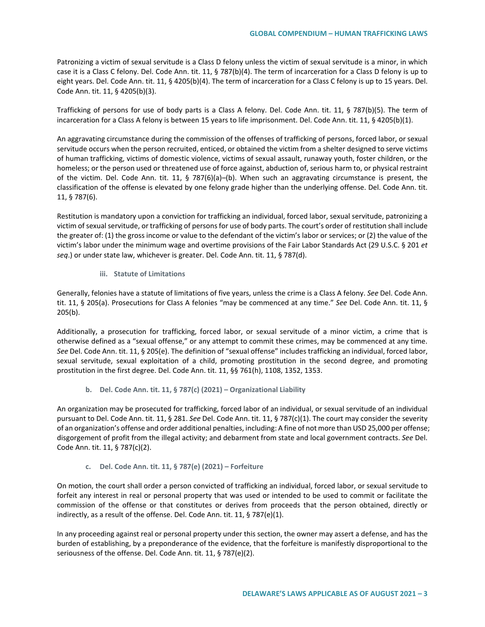Patronizing a victim of sexual servitude is a Class D felony unless the victim of sexual servitude is a minor, in which case it is a Class C felony. Del. Code Ann. tit. 11, § 787(b)(4). The term of incarceration for a Class D felony is up to eight years. Del. Code Ann. tit. 11, § 4205(b)(4). The term of incarceration for a Class C felony is up to 15 years. Del. Code Ann. tit. 11, § 4205(b)(3).

Trafficking of persons for use of body parts is a Class A felony. Del. Code Ann. tit. 11, § 787(b)(5). The term of incarceration for a Class A felony is between 15 years to life imprisonment. Del. Code Ann. tit. 11, § 4205(b)(1).

An aggravating circumstance during the commission of the offenses of trafficking of persons, forced labor, or sexual servitude occurs when the person recruited, enticed, or obtained the victim from a shelter designed to serve victims of human trafficking, victims of domestic violence, victims of sexual assault, runaway youth, foster children, or the homeless; or the person used or threatened use of force against, abduction of, serious harm to, or physical restraint of the victim. Del. Code Ann. tit. 11, § 787(6)(a)–(b). When such an aggravating circumstance is present, the classification of the offense is elevated by one felony grade higher than the underlying offense. Del. Code Ann. tit. 11, § 787(6).

Restitution is mandatory upon a conviction for trafficking an individual, forced labor, sexual servitude, patronizing a victim of sexual servitude, or trafficking of persons for use of body parts. The court's order of restitution shall include the greater of: (1) the gross income or value to the defendant of the victim's labor or services; or (2) the value of the victim's labor under the minimum wage and overtime provisions of the Fair Labor Standards Act (29 U.S.C. § 201 *et seq*.) or under state law, whichever is greater. Del. Code Ann. tit. 11, § 787(d).

**iii. Statute of Limitations**

Generally, felonies have a statute of limitations of five years, unless the crime is a Class A felony. *See* Del. Code Ann. tit. 11, § 205(a). Prosecutions for Class A felonies "may be commenced at any time." *See* Del. Code Ann. tit. 11, § 205(b).

Additionally, a prosecution for trafficking, forced labor, or sexual servitude of a minor victim, a crime that is otherwise defined as a "sexual offense," or any attempt to commit these crimes, may be commenced at any time. *See* Del. Code Ann. tit. 11, § 205(e). The definition of "sexual offense" includes trafficking an individual, forced labor, sexual servitude, sexual exploitation of a child, promoting prostitution in the second degree, and promoting prostitution in the first degree. Del. Code Ann. tit. 11, §§ 761(h), 1108, 1352, 1353.

## **b. Del. Code Ann. tit. 11, § 787(c) (2021) – Organizational Liability**

An organization may be prosecuted for trafficking, forced labor of an individual, or sexual servitude of an individual pursuant to Del. Code Ann. tit. 11, § 281. *See* Del. Code Ann. tit. 11, § 787(c)(1). The court may consider the severity of an organization's offense and order additional penalties, including: A fine of not more than USD 25,000 per offense; disgorgement of profit from the illegal activity; and debarment from state and local government contracts. *See* Del. Code Ann. tit. 11, § 787(c)(2).

## **c. Del. Code Ann. tit. 11, § 787(e) (2021) – Forfeiture**

On motion, the court shall order a person convicted of trafficking an individual, forced labor, or sexual servitude to forfeit any interest in real or personal property that was used or intended to be used to commit or facilitate the commission of the offense or that constitutes or derives from proceeds that the person obtained, directly or indirectly, as a result of the offense. Del. Code Ann. tit. 11, § 787(e)(1).

In any proceeding against real or personal property under this section, the owner may assert a defense, and has the burden of establishing, by a preponderance of the evidence, that the forfeiture is manifestly disproportional to the seriousness of the offense. Del. Code Ann. tit. 11, § 787(e)(2).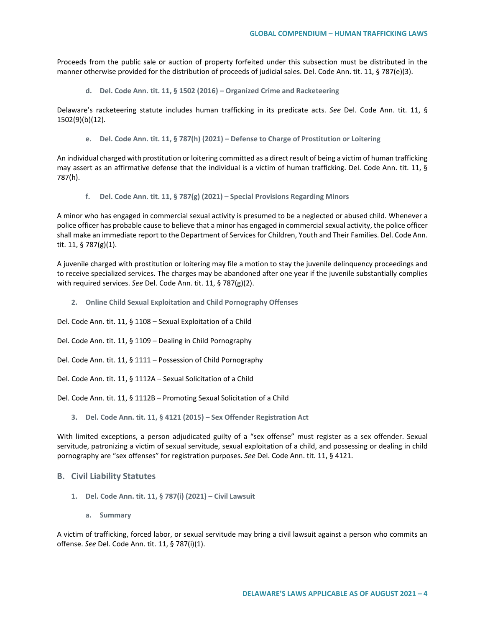Proceeds from the public sale or auction of property forfeited under this subsection must be distributed in the manner otherwise provided for the distribution of proceeds of judicial sales. Del. Code Ann. tit. 11, § 787(e)(3).

**d. Del. Code Ann. tit. 11, § 1502 (2016) – Organized Crime and Racketeering**

Delaware's racketeering statute includes human trafficking in its predicate acts. *See* Del. Code Ann. tit. 11, § 1502(9)(b)(12).

**e. Del. Code Ann. tit. 11, § 787(h) (2021) – Defense to Charge of Prostitution or Loitering**

An individual charged with prostitution or loitering committed as a direct result of being a victim of human trafficking may assert as an affirmative defense that the individual is a victim of human trafficking. Del. Code Ann. tit. 11, § 787(h).

**f. Del. Code Ann. tit. 11, § 787(g) (2021) – Special Provisions Regarding Minors**

A minor who has engaged in commercial sexual activity is presumed to be a neglected or abused child. Whenever a police officer has probable cause to believe that a minor has engaged in commercial sexual activity, the police officer shall make an immediate report to the Department of Services for Children, Youth and Their Families. Del. Code Ann. tit. 11, § 787(g)(1).

A juvenile charged with prostitution or loitering may file a motion to stay the juvenile delinquency proceedings and to receive specialized services. The charges may be abandoned after one year if the juvenile substantially complies with required services. *See* Del. Code Ann. tit. 11, § 787(g)(2).

- **2. Online Child Sexual Exploitation and Child Pornography Offenses**
- Del. Code Ann. tit. 11, § 1108 Sexual Exploitation of a Child
- Del. Code Ann. tit. 11, § 1109 Dealing in Child Pornography
- Del. Code Ann. tit. 11, § 1111 Possession of Child Pornography
- Del. Code Ann. tit. 11, § 1112A Sexual Solicitation of a Child
- Del. Code Ann. tit. 11, § 1112B Promoting Sexual Solicitation of a Child
	- **3. Del. Code Ann. tit. 11, § 4121 (2015) – Sex Offender Registration Act**

With limited exceptions, a person adjudicated guilty of a "sex offense" must register as a sex offender. Sexual servitude, patronizing a victim of sexual servitude, sexual exploitation of a child, and possessing or dealing in child pornography are "sex offenses" for registration purposes. *See* Del. Code Ann. tit. 11, § 4121.

#### **B. Civil Liability Statutes**

- **1. Del. Code Ann. tit. 11, § 787(i) (2021) – Civil Lawsuit**
	- **a. Summary**

A victim of trafficking, forced labor, or sexual servitude may bring a civil lawsuit against a person who commits an offense. *See* Del. Code Ann. tit. 11, § 787(i)(1).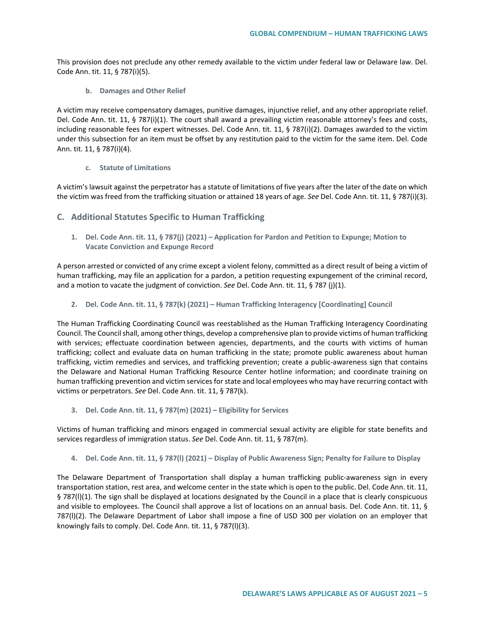This provision does not preclude any other remedy available to the victim under federal law or Delaware law. Del. Code Ann. tit. 11, § 787(i)(5).

**b. Damages and Other Relief**

A victim may receive compensatory damages, punitive damages, injunctive relief, and any other appropriate relief. Del. Code Ann. tit. 11, § 787(i)(1). The court shall award a prevailing victim reasonable attorney's fees and costs, including reasonable fees for expert witnesses. Del. Code Ann. tit. 11, § 787(i)(2). Damages awarded to the victim under this subsection for an item must be offset by any restitution paid to the victim for the same item. Del. Code Ann. tit. 11, § 787(i)(4).

**c. Statute of Limitations**

A victim's lawsuit against the perpetrator has a statute of limitations of five years after the later of the date on which the victim was freed from the trafficking situation or attained 18 years of age. *See* Del. Code Ann. tit. 11, § 787(i)(3).

- **C. Additional Statutes Specific to Human Trafficking**
	- **1. Del. Code Ann. tit. 11, § 787(j) (2021) – Application for Pardon and Petition to Expunge; Motion to Vacate Conviction and Expunge Record**

A person arrested or convicted of any crime except a violent felony, committed as a direct result of being a victim of human trafficking, may file an application for a pardon, a petition requesting expungement of the criminal record, and a motion to vacate the judgment of conviction. *See* Del. Code Ann. tit. 11, § 787 (j)(1).

**2. Del. Code Ann. tit. 11, § 787(k) (2021) – Human Trafficking Interagency [Coordinating] Council**

The Human Trafficking Coordinating Council was reestablished as the Human Trafficking Interagency Coordinating Council. The Council shall, among other things, develop a comprehensive plan to provide victims of human trafficking with services; effectuate coordination between agencies, departments, and the courts with victims of human trafficking; collect and evaluate data on human trafficking in the state; promote public awareness about human trafficking, victim remedies and services, and trafficking prevention; create a public-awareness sign that contains the Delaware and National Human Trafficking Resource Center hotline information; and coordinate training on human trafficking prevention and victim services for state and local employees who may have recurring contact with victims or perpetrators. *See* Del. Code Ann. tit. 11, § 787(k).

**3. Del. Code Ann. tit. 11, § 787(m) (2021) – Eligibility for Services**

Victims of human trafficking and minors engaged in commercial sexual activity are eligible for state benefits and services regardless of immigration status. *See* Del. Code Ann. tit. 11, § 787(m).

**4. Del. Code Ann. tit. 11, § 787(l) (2021) – Display of Public Awareness Sign; Penalty for Failure to Display**

The Delaware Department of Transportation shall display a human trafficking public-awareness sign in every transportation station, rest area, and welcome center in the state which is open to the public. Del. Code Ann. tit. 11, § 787(l)(1). The sign shall be displayed at locations designated by the Council in a place that is clearly conspicuous and visible to employees. The Council shall approve a list of locations on an annual basis. Del. Code Ann. tit. 11, § 787(l)(2). The Delaware Department of Labor shall impose a fine of USD 300 per violation on an employer that knowingly fails to comply. Del. Code Ann. tit. 11, § 787(l)(3).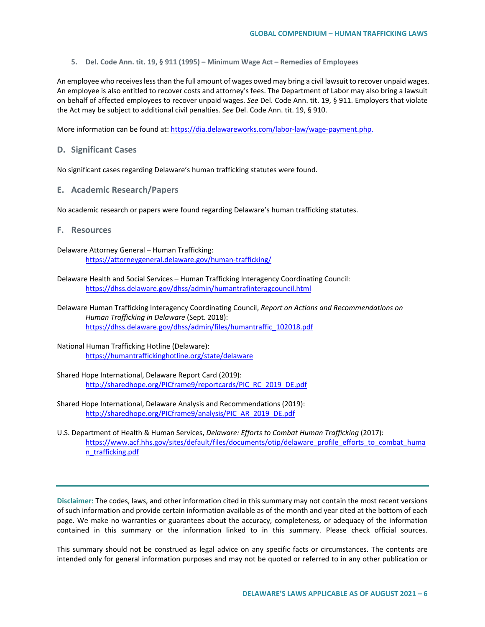**5. Del. Code Ann. tit. 19, § 911 (1995) – Minimum Wage Act – Remedies of Employees**

An employee who receives less than the full amount of wages owed may bring a civil lawsuit to recover unpaid wages. An employee is also entitled to recover costs and attorney's fees. The Department of Labor may also bring a lawsuit on behalf of affected employees to recover unpaid wages. *See* Del. Code Ann. tit. 19, § 911. Employers that violate the Act may be subject to additional civil penalties. *See* Del. Code Ann. tit. 19, § 910.

More information can be found at[: https://dia.delawareworks.com/labor-law/wage-payment.php.](https://dia.delawareworks.com/labor-law/wage-payment.php)

## **D. Significant Cases**

No significant cases regarding Delaware's human trafficking statutes were found.

**E. Academic Research/Papers**

No academic research or papers were found regarding Delaware's human trafficking statutes.

## **F. Resources**

Delaware Attorney General – Human Trafficking: <https://attorneygeneral.delaware.gov/human-trafficking/>

- Delaware Health and Social Services Human Trafficking Interagency Coordinating Council: <https://dhss.delaware.gov/dhss/admin/humantrafinteragcouncil.html>
- Delaware Human Trafficking Interagency Coordinating Council, *Report on Actions and Recommendations on Human Trafficking in Delaware* (Sept. 2018): [https://dhss.delaware.gov/dhss/admin/files/humantraffic\\_102018.pdf](https://dhss.delaware.gov/dhss/admin/files/humantraffic_102018.pdf)
- National Human Trafficking Hotline (Delaware): <https://humantraffickinghotline.org/state/delaware>

Shared Hope International, Delaware Report Card (2019): [http://sharedhope.org/PICframe9/reportcards/PIC\\_RC\\_2019\\_DE.pdf](http://sharedhope.org/PICframe9/reportcards/PIC_RC_2019_DE.pdf)

- Shared Hope International, Delaware Analysis and Recommendations (2019): [http://sharedhope.org/PICframe9/analysis/PIC\\_AR\\_2019\\_DE.pdf](http://sharedhope.org/PICframe9/analysis/PIC_AR_2019_DE.pdf)
- U.S. Department of Health & Human Services, *Delaware: Efforts to Combat Human Trafficking* (2017): [https://www.acf.hhs.gov/sites/default/files/documents/otip/delaware\\_profile\\_efforts\\_to\\_combat\\_huma](https://www.acf.hhs.gov/sites/default/files/documents/otip/delaware_profile_efforts_to_combat_human_trafficking.pdf) [n\\_trafficking.pdf](https://www.acf.hhs.gov/sites/default/files/documents/otip/delaware_profile_efforts_to_combat_human_trafficking.pdf)

**Disclaimer:** The codes, laws, and other information cited in this summary may not contain the most recent versions of such information and provide certain information available as of the month and year cited at the bottom of each page. We make no warranties or guarantees about the accuracy, completeness, or adequacy of the information contained in this summary or the information linked to in this summary. Please check official sources.

This summary should not be construed as legal advice on any specific facts or circumstances. The contents are intended only for general information purposes and may not be quoted or referred to in any other publication or